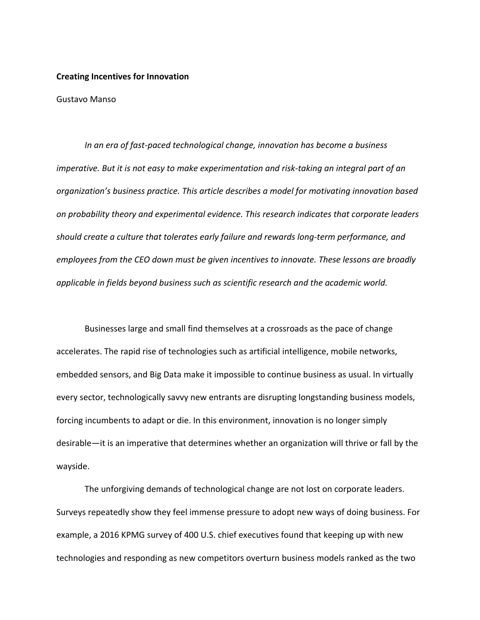#### **Creating Incentives for Innovation**

Gustavo Manso

*In an era of fast-paced technological change, innovation has become a business imperative. But it is not easy to make experimentation and risk-taking an integral part of an organization's business practice. This article describes a model for motivating innovation based on probability theory and experimental evidence. This research indicates that corporate leaders should create a culture that tolerates early failure and rewards long-term performance, and employees from the CEO down must be given incentives to innovate. These lessons are broadly applicable in fields beyond business such as scientific research and the academic world.* 

Businesses large and small find themselves at a crossroads as the pace of change accelerates. The rapid rise of technologies such as artificial intelligence, mobile networks, embedded sensors, and Big Data make it impossible to continue business as usual. In virtually every sector, technologically savvy new entrants are disrupting longstanding business models, forcing incumbents to adapt or die. In this environment, innovation is no longer simply desirable—it is an imperative that determines whether an organization will thrive or fall by the wayside.

The unforgiving demands of technological change are not lost on corporate leaders. Surveys repeatedly show they feel immense pressure to adopt new ways of doing business. For example, a 2016 KPMG survey of 400 U.S. chief executives found that keeping up with new technologies and responding as new competitors overturn business models ranked as the two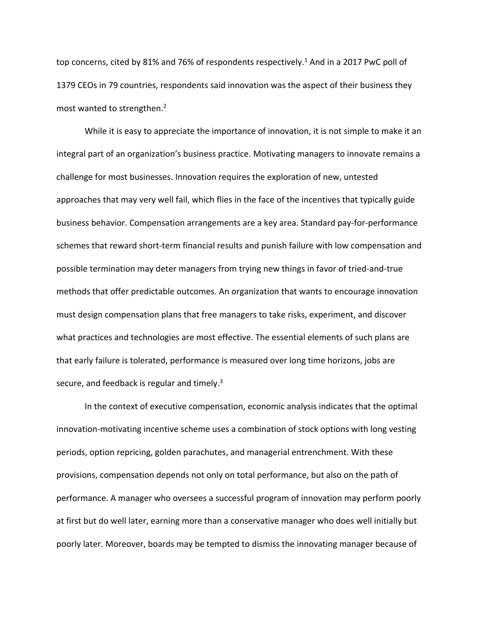top concerns, cited by 81% and 76% of respondents respectively.<sup>1</sup> And in a 2017 PwC poll of 1379 CEOs in 79 countries, respondents said innovation was the aspect of their business they most wanted to strengthen.<sup>2</sup>

While it is easy to appreciate the importance of innovation, it is not simple to make it an integral part of an organization's business practice. Motivating managers to innovate remains a challenge for most businesses. Innovation requires the exploration of new, untested approaches that may very well fail, which flies in the face of the incentives that typically guide business behavior. Compensation arrangements are a key area. Standard pay-for-performance schemes that reward short-term financial results and punish failure with low compensation and possible termination may deter managers from trying new things in favor of tried-and-true methods that offer predictable outcomes. An organization that wants to encourage innovation must design compensation plans that free managers to take risks, experiment, and discover what practices and technologies are most effective. The essential elements of such plans are that early failure is tolerated, performance is measured over long time horizons, jobs are secure, and feedback is regular and timely.<sup>3</sup>

In the context of executive compensation, economic analysis indicates that the optimal innovation-motivating incentive scheme uses a combination of stock options with long vesting periods, option repricing, golden parachutes, and managerial entrenchment. With these provisions, compensation depends not only on total performance, but also on the path of performance. A manager who oversees a successful program of innovation may perform poorly at first but do well later, earning more than a conservative manager who does well initially but poorly later. Moreover, boards may be tempted to dismiss the innovating manager because of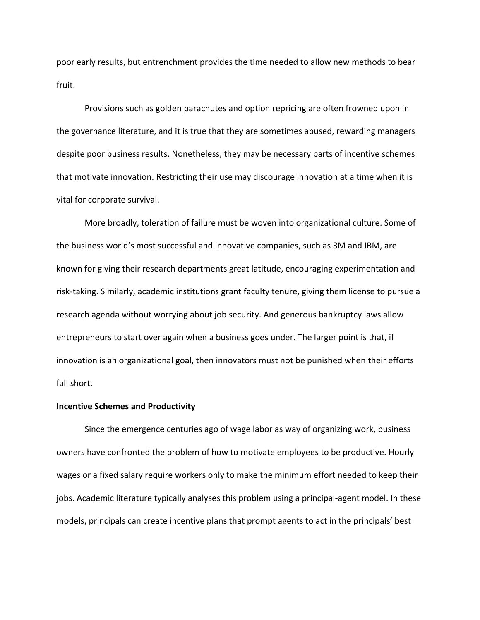poor early results, but entrenchment provides the time needed to allow new methods to bear fruit.

Provisions such as golden parachutes and option repricing are often frowned upon in the governance literature, and it is true that they are sometimes abused, rewarding managers despite poor business results. Nonetheless, they may be necessary parts of incentive schemes that motivate innovation. Restricting their use may discourage innovation at a time when it is vital for corporate survival.

More broadly, toleration of failure must be woven into organizational culture. Some of the business world's most successful and innovative companies, such as 3M and IBM, are known for giving their research departments great latitude, encouraging experimentation and risk-taking. Similarly, academic institutions grant faculty tenure, giving them license to pursue a research agenda without worrying about job security. And generous bankruptcy laws allow entrepreneurs to start over again when a business goes under. The larger point is that, if innovation is an organizational goal, then innovators must not be punished when their efforts fall short.

# **Incentive Schemes and Productivity**

Since the emergence centuries ago of wage labor as way of organizing work, business owners have confronted the problem of how to motivate employees to be productive. Hourly wages or a fixed salary require workers only to make the minimum effort needed to keep their jobs. Academic literature typically analyses this problem using a principal-agent model. In these models, principals can create incentive plans that prompt agents to act in the principals' best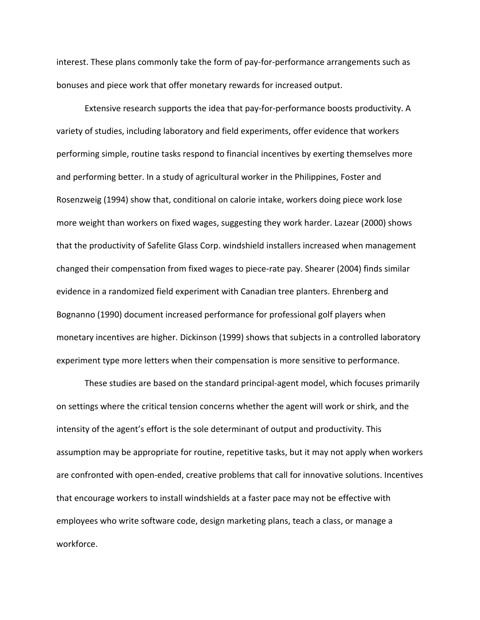interest. These plans commonly take the form of pay-for-performance arrangements such as bonuses and piece work that offer monetary rewards for increased output.

Extensive research supports the idea that pay-for-performance boosts productivity. A variety of studies, including laboratory and field experiments, offer evidence that workers performing simple, routine tasks respond to financial incentives by exerting themselves more and performing better. In a study of agricultural worker in the Philippines, Foster and Rosenzweig (1994) show that, conditional on calorie intake, workers doing piece work lose more weight than workers on fixed wages, suggesting they work harder. Lazear (2000) shows that the productivity of Safelite Glass Corp. windshield installers increased when management changed their compensation from fixed wages to piece-rate pay. Shearer (2004) finds similar evidence in a randomized field experiment with Canadian tree planters. Ehrenberg and Bognanno (1990) document increased performance for professional golf players when monetary incentives are higher. Dickinson (1999) shows that subjects in a controlled laboratory experiment type more letters when their compensation is more sensitive to performance.

These studies are based on the standard principal-agent model, which focuses primarily on settings where the critical tension concerns whether the agent will work or shirk, and the intensity of the agent's effort is the sole determinant of output and productivity. This assumption may be appropriate for routine, repetitive tasks, but it may not apply when workers are confronted with open-ended, creative problems that call for innovative solutions. Incentives that encourage workers to install windshields at a faster pace may not be effective with employees who write software code, design marketing plans, teach a class, or manage a workforce.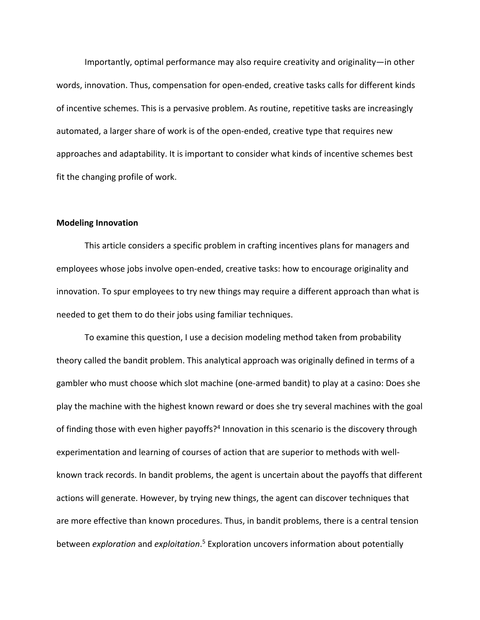Importantly, optimal performance may also require creativity and originality—in other words, innovation. Thus, compensation for open-ended, creative tasks calls for different kinds of incentive schemes. This is a pervasive problem. As routine, repetitive tasks are increasingly automated, a larger share of work is of the open-ended, creative type that requires new approaches and adaptability. It is important to consider what kinds of incentive schemes best fit the changing profile of work.

#### **Modeling Innovation**

This article considers a specific problem in crafting incentives plans for managers and employees whose jobs involve open-ended, creative tasks: how to encourage originality and innovation. To spur employees to try new things may require a different approach than what is needed to get them to do their jobs using familiar techniques.

To examine this question, I use a decision modeling method taken from probability theory called the bandit problem. This analytical approach was originally defined in terms of a gambler who must choose which slot machine (one-armed bandit) to play at a casino: Does she play the machine with the highest known reward or does she try several machines with the goal of finding those with even higher payoffs?<sup>4</sup> Innovation in this scenario is the discovery through experimentation and learning of courses of action that are superior to methods with wellknown track records. In bandit problems, the agent is uncertain about the payoffs that different actions will generate. However, by trying new things, the agent can discover techniques that are more effective than known procedures. Thus, in bandit problems, there is a central tension between *exploration* and *exploitation*. <sup>5</sup> Exploration uncovers information about potentially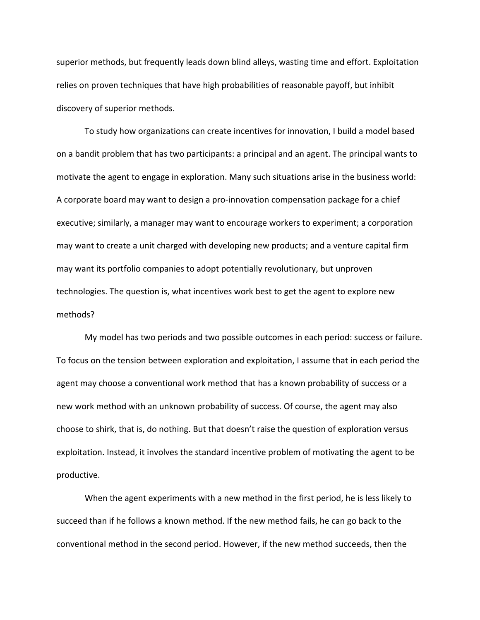superior methods, but frequently leads down blind alleys, wasting time and effort. Exploitation relies on proven techniques that have high probabilities of reasonable payoff, but inhibit discovery of superior methods.

To study how organizations can create incentives for innovation, I build a model based on a bandit problem that has two participants: a principal and an agent. The principal wants to motivate the agent to engage in exploration. Many such situations arise in the business world: A corporate board may want to design a pro-innovation compensation package for a chief executive; similarly, a manager may want to encourage workers to experiment; a corporation may want to create a unit charged with developing new products; and a venture capital firm may want its portfolio companies to adopt potentially revolutionary, but unproven technologies. The question is, what incentives work best to get the agent to explore new methods?

My model has two periods and two possible outcomes in each period: success or failure. To focus on the tension between exploration and exploitation, I assume that in each period the agent may choose a conventional work method that has a known probability of success or a new work method with an unknown probability of success. Of course, the agent may also choose to shirk, that is, do nothing. But that doesn't raise the question of exploration versus exploitation. Instead, it involves the standard incentive problem of motivating the agent to be productive.

When the agent experiments with a new method in the first period, he is less likely to succeed than if he follows a known method. If the new method fails, he can go back to the conventional method in the second period. However, if the new method succeeds, then the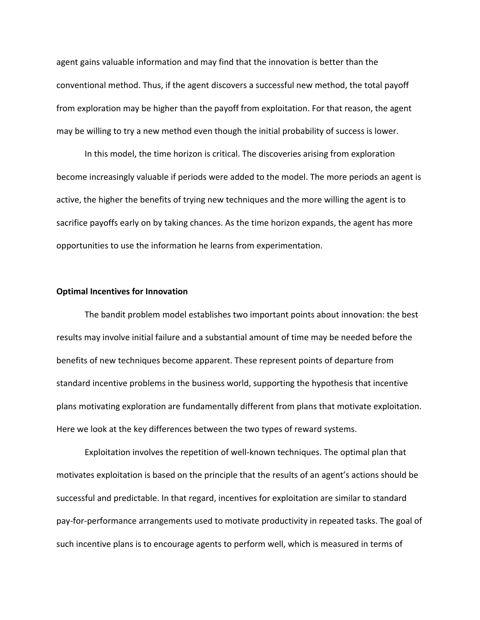agent gains valuable information and may find that the innovation is better than the conventional method. Thus, if the agent discovers a successful new method, the total payoff from exploration may be higher than the payoff from exploitation. For that reason, the agent may be willing to try a new method even though the initial probability of success is lower.

In this model, the time horizon is critical. The discoveries arising from exploration become increasingly valuable if periods were added to the model. The more periods an agent is active, the higher the benefits of trying new techniques and the more willing the agent is to sacrifice payoffs early on by taking chances. As the time horizon expands, the agent has more opportunities to use the information he learns from experimentation.

#### **Optimal Incentives for Innovation**

The bandit problem model establishes two important points about innovation: the best results may involve initial failure and a substantial amount of time may be needed before the benefits of new techniques become apparent. These represent points of departure from standard incentive problems in the business world, supporting the hypothesis that incentive plans motivating exploration are fundamentally different from plans that motivate exploitation. Here we look at the key differences between the two types of reward systems.

Exploitation involves the repetition of well-known techniques. The optimal plan that motivates exploitation is based on the principle that the results of an agent's actions should be successful and predictable. In that regard, incentives for exploitation are similar to standard pay-for-performance arrangements used to motivate productivity in repeated tasks. The goal of such incentive plans is to encourage agents to perform well, which is measured in terms of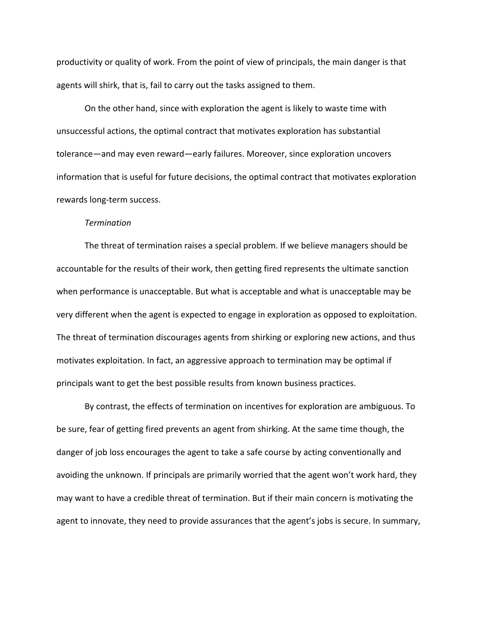productivity or quality of work. From the point of view of principals, the main danger is that agents will shirk, that is, fail to carry out the tasks assigned to them.

On the other hand, since with exploration the agent is likely to waste time with unsuccessful actions, the optimal contract that motivates exploration has substantial tolerance—and may even reward—early failures. Moreover, since exploration uncovers information that is useful for future decisions, the optimal contract that motivates exploration rewards long-term success.

#### *Termination*

The threat of termination raises a special problem. If we believe managers should be accountable for the results of their work, then getting fired represents the ultimate sanction when performance is unacceptable. But what is acceptable and what is unacceptable may be very different when the agent is expected to engage in exploration as opposed to exploitation. The threat of termination discourages agents from shirking or exploring new actions, and thus motivates exploitation. In fact, an aggressive approach to termination may be optimal if principals want to get the best possible results from known business practices.

By contrast, the effects of termination on incentives for exploration are ambiguous. To be sure, fear of getting fired prevents an agent from shirking. At the same time though, the danger of job loss encourages the agent to take a safe course by acting conventionally and avoiding the unknown. If principals are primarily worried that the agent won't work hard, they may want to have a credible threat of termination. But if their main concern is motivating the agent to innovate, they need to provide assurances that the agent's jobs is secure. In summary,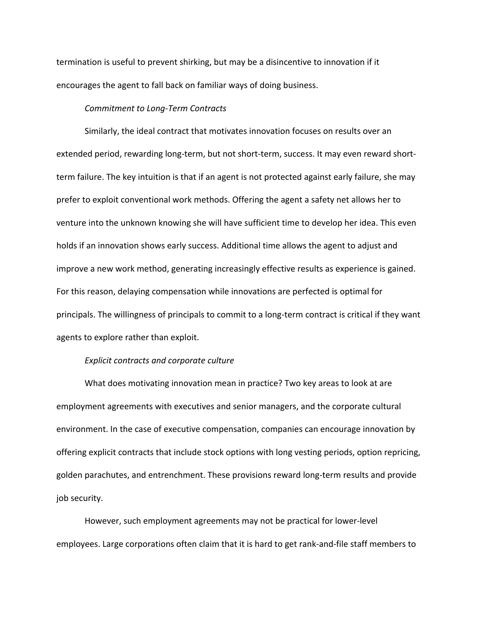termination is useful to prevent shirking, but may be a disincentive to innovation if it encourages the agent to fall back on familiar ways of doing business.

# *Commitment to Long-Term Contracts*

Similarly, the ideal contract that motivates innovation focuses on results over an extended period, rewarding long-term, but not short-term, success. It may even reward shortterm failure. The key intuition is that if an agent is not protected against early failure, she may prefer to exploit conventional work methods. Offering the agent a safety net allows her to venture into the unknown knowing she will have sufficient time to develop her idea. This even holds if an innovation shows early success. Additional time allows the agent to adjust and improve a new work method, generating increasingly effective results as experience is gained. For this reason, delaying compensation while innovations are perfected is optimal for principals. The willingness of principals to commit to a long-term contract is critical if they want agents to explore rather than exploit.

## *Explicit contracts and corporate culture*

What does motivating innovation mean in practice? Two key areas to look at are employment agreements with executives and senior managers, and the corporate cultural environment. In the case of executive compensation, companies can encourage innovation by offering explicit contracts that include stock options with long vesting periods, option repricing, golden parachutes, and entrenchment. These provisions reward long-term results and provide job security.

However, such employment agreements may not be practical for lower-level employees. Large corporations often claim that it is hard to get rank-and-file staff members to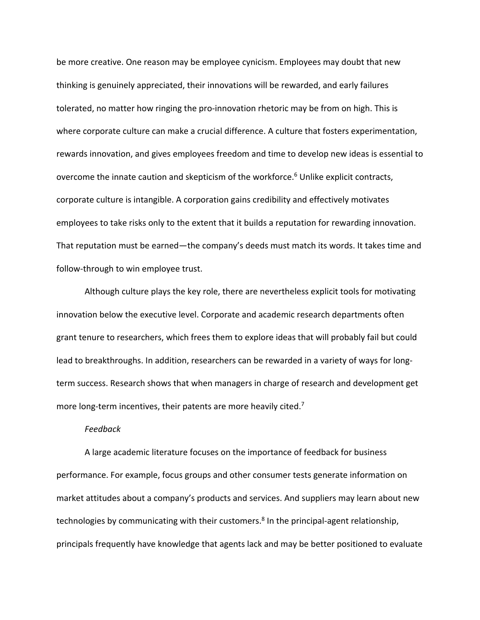be more creative. One reason may be employee cynicism. Employees may doubt that new thinking is genuinely appreciated, their innovations will be rewarded, and early failures tolerated, no matter how ringing the pro-innovation rhetoric may be from on high. This is where corporate culture can make a crucial difference. A culture that fosters experimentation, rewards innovation, and gives employees freedom and time to develop new ideas is essential to overcome the innate caution and skepticism of the workforce. <sup>6</sup> Unlike explicit contracts, corporate culture is intangible. A corporation gains credibility and effectively motivates employees to take risks only to the extent that it builds a reputation for rewarding innovation. That reputation must be earned—the company's deeds must match its words. It takes time and follow-through to win employee trust.

Although culture plays the key role, there are nevertheless explicit tools for motivating innovation below the executive level. Corporate and academic research departments often grant tenure to researchers, which frees them to explore ideas that will probably fail but could lead to breakthroughs. In addition, researchers can be rewarded in a variety of ways for longterm success. Research shows that when managers in charge of research and development get more long-term incentives, their patents are more heavily cited.<sup>7</sup>

## *Feedback*

A large academic literature focuses on the importance of feedback for business performance. For example, focus groups and other consumer tests generate information on market attitudes about a company's products and services. And suppliers may learn about new technologies by communicating with their customers.<sup>8</sup> In the principal-agent relationship, principals frequently have knowledge that agents lack and may be better positioned to evaluate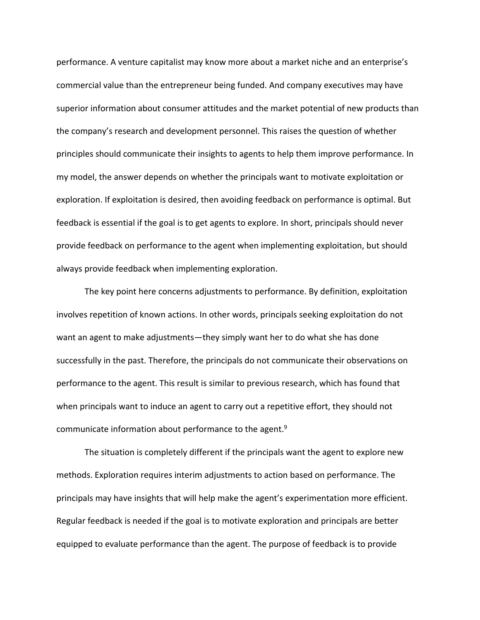performance. A venture capitalist may know more about a market niche and an enterprise's commercial value than the entrepreneur being funded. And company executives may have superior information about consumer attitudes and the market potential of new products than the company's research and development personnel. This raises the question of whether principles should communicate their insights to agents to help them improve performance. In my model, the answer depends on whether the principals want to motivate exploitation or exploration. If exploitation is desired, then avoiding feedback on performance is optimal. But feedback is essential if the goal is to get agents to explore. In short, principals should never provide feedback on performance to the agent when implementing exploitation, but should always provide feedback when implementing exploration.

The key point here concerns adjustments to performance. By definition, exploitation involves repetition of known actions. In other words, principals seeking exploitation do not want an agent to make adjustments—they simply want her to do what she has done successfully in the past. Therefore, the principals do not communicate their observations on performance to the agent. This result is similar to previous research, which has found that when principals want to induce an agent to carry out a repetitive effort, they should not communicate information about performance to the agent.<sup>9</sup>

The situation is completely different if the principals want the agent to explore new methods. Exploration requires interim adjustments to action based on performance. The principals may have insights that will help make the agent's experimentation more efficient. Regular feedback is needed if the goal is to motivate exploration and principals are better equipped to evaluate performance than the agent. The purpose of feedback is to provide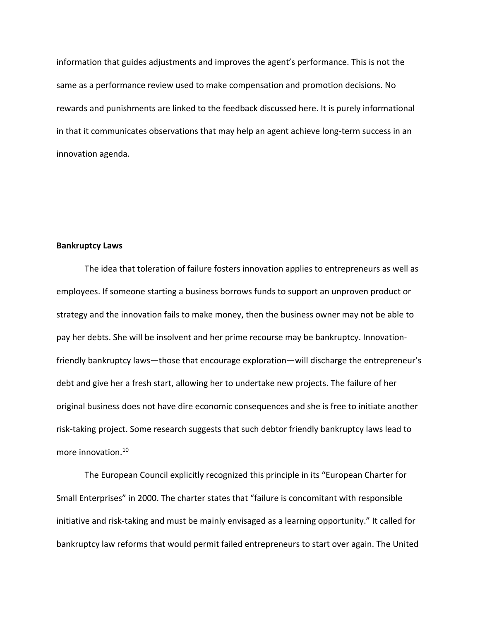information that guides adjustments and improves the agent's performance. This is not the same as a performance review used to make compensation and promotion decisions. No rewards and punishments are linked to the feedback discussed here. It is purely informational in that it communicates observations that may help an agent achieve long-term success in an innovation agenda.

## **Bankruptcy Laws**

The idea that toleration of failure fosters innovation applies to entrepreneurs as well as employees. If someone starting a business borrows funds to support an unproven product or strategy and the innovation fails to make money, then the business owner may not be able to pay her debts. She will be insolvent and her prime recourse may be bankruptcy. Innovationfriendly bankruptcy laws—those that encourage exploration—will discharge the entrepreneur's debt and give her a fresh start, allowing her to undertake new projects. The failure of her original business does not have dire economic consequences and she is free to initiate another risk-taking project. Some research suggests that such debtor friendly bankruptcy laws lead to more innovation.<sup>10</sup>

The European Council explicitly recognized this principle in its "European Charter for Small Enterprises" in 2000. The charter states that "failure is concomitant with responsible initiative and risk-taking and must be mainly envisaged as a learning opportunity." It called for bankruptcy law reforms that would permit failed entrepreneurs to start over again. The United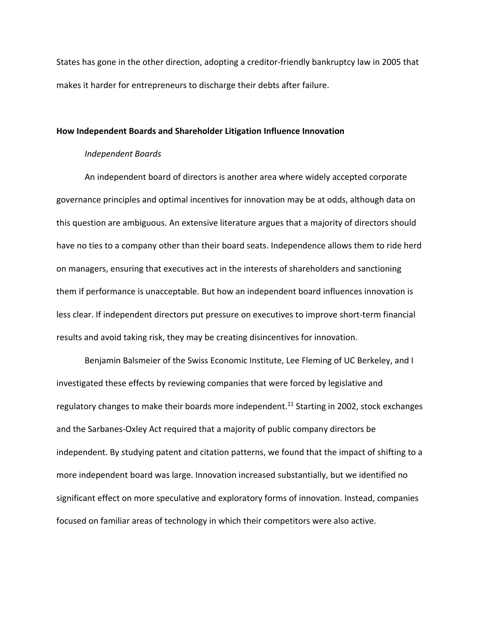States has gone in the other direction, adopting a creditor-friendly bankruptcy law in 2005 that makes it harder for entrepreneurs to discharge their debts after failure.

# **How Independent Boards and Shareholder Litigation Influence Innovation**

# *Independent Boards*

An independent board of directors is another area where widely accepted corporate governance principles and optimal incentives for innovation may be at odds, although data on this question are ambiguous. An extensive literature argues that a majority of directors should have no ties to a company other than their board seats. Independence allows them to ride herd on managers, ensuring that executives act in the interests of shareholders and sanctioning them if performance is unacceptable. But how an independent board influences innovation is less clear. If independent directors put pressure on executives to improve short-term financial results and avoid taking risk, they may be creating disincentives for innovation.

Benjamin Balsmeier of the Swiss Economic Institute, Lee Fleming of UC Berkeley, and I investigated these effects by reviewing companies that were forced by legislative and regulatory changes to make their boards more independent.<sup>11</sup> Starting in 2002, stock exchanges and the Sarbanes-Oxley Act required that a majority of public company directors be independent. By studying patent and citation patterns, we found that the impact of shifting to a more independent board was large. Innovation increased substantially, but we identified no significant effect on more speculative and exploratory forms of innovation. Instead, companies focused on familiar areas of technology in which their competitors were also active.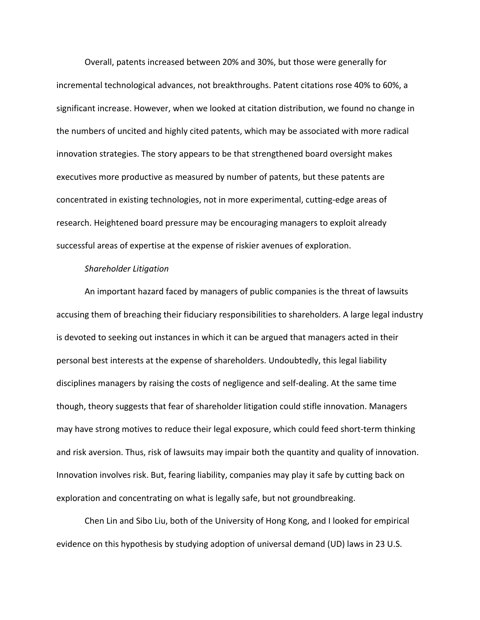Overall, patents increased between 20% and 30%, but those were generally for incremental technological advances, not breakthroughs. Patent citations rose 40% to 60%, a significant increase. However, when we looked at citation distribution, we found no change in the numbers of uncited and highly cited patents, which may be associated with more radical innovation strategies. The story appears to be that strengthened board oversight makes executives more productive as measured by number of patents, but these patents are concentrated in existing technologies, not in more experimental, cutting-edge areas of research. Heightened board pressure may be encouraging managers to exploit already successful areas of expertise at the expense of riskier avenues of exploration.

# *Shareholder Litigation*

An important hazard faced by managers of public companies is the threat of lawsuits accusing them of breaching their fiduciary responsibilities to shareholders. A large legal industry is devoted to seeking out instances in which it can be argued that managers acted in their personal best interests at the expense of shareholders. Undoubtedly, this legal liability disciplines managers by raising the costs of negligence and self-dealing. At the same time though, theory suggests that fear of shareholder litigation could stifle innovation. Managers may have strong motives to reduce their legal exposure, which could feed short-term thinking and risk aversion. Thus, risk of lawsuits may impair both the quantity and quality of innovation. Innovation involves risk. But, fearing liability, companies may play it safe by cutting back on exploration and concentrating on what is legally safe, but not groundbreaking.

Chen Lin and Sibo Liu, both of the University of Hong Kong, and I looked for empirical evidence on this hypothesis by studying adoption of universal demand (UD) laws in 23 U.S.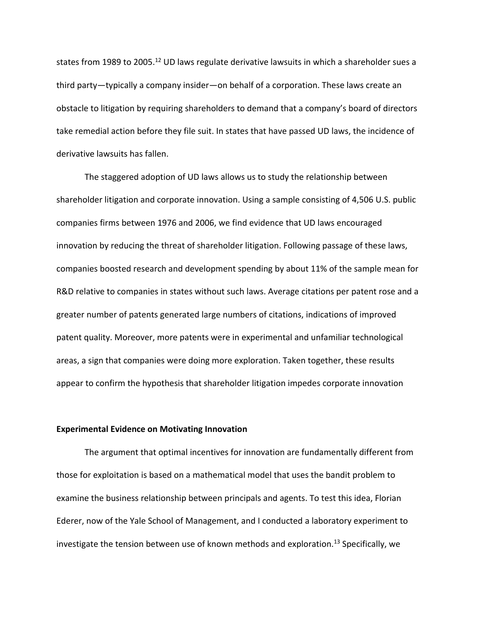states from 1989 to 2005.<sup>12</sup> UD laws regulate derivative lawsuits in which a shareholder sues a third party—typically a company insider—on behalf of a corporation. These laws create an obstacle to litigation by requiring shareholders to demand that a company's board of directors take remedial action before they file suit. In states that have passed UD laws, the incidence of derivative lawsuits has fallen.

The staggered adoption of UD laws allows us to study the relationship between shareholder litigation and corporate innovation. Using a sample consisting of 4,506 U.S. public companies firms between 1976 and 2006, we find evidence that UD laws encouraged innovation by reducing the threat of shareholder litigation. Following passage of these laws, companies boosted research and development spending by about 11% of the sample mean for R&D relative to companies in states without such laws. Average citations per patent rose and a greater number of patents generated large numbers of citations, indications of improved patent quality. Moreover, more patents were in experimental and unfamiliar technological areas, a sign that companies were doing more exploration. Taken together, these results appear to confirm the hypothesis that shareholder litigation impedes corporate innovation

## **Experimental Evidence on Motivating Innovation**

The argument that optimal incentives for innovation are fundamentally different from those for exploitation is based on a mathematical model that uses the bandit problem to examine the business relationship between principals and agents. To test this idea, Florian Ederer, now of the Yale School of Management, and I conducted a laboratory experiment to investigate the tension between use of known methods and exploration.<sup>13</sup> Specifically, we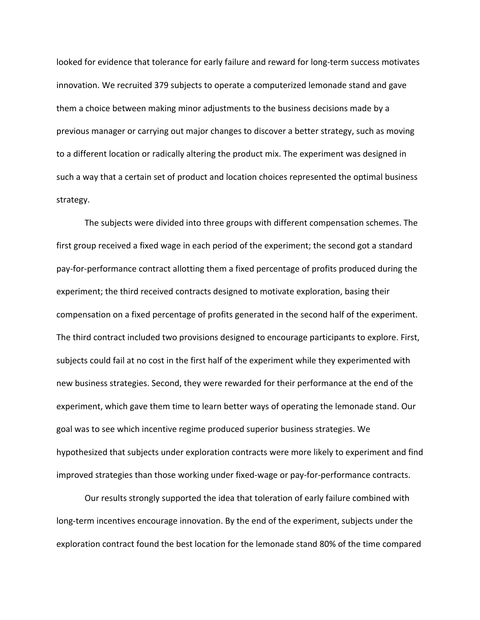looked for evidence that tolerance for early failure and reward for long-term success motivates innovation. We recruited 379 subjects to operate a computerized lemonade stand and gave them a choice between making minor adjustments to the business decisions made by a previous manager or carrying out major changes to discover a better strategy, such as moving to a different location or radically altering the product mix. The experiment was designed in such a way that a certain set of product and location choices represented the optimal business strategy.

The subjects were divided into three groups with different compensation schemes. The first group received a fixed wage in each period of the experiment; the second got a standard pay-for-performance contract allotting them a fixed percentage of profits produced during the experiment; the third received contracts designed to motivate exploration, basing their compensation on a fixed percentage of profits generated in the second half of the experiment. The third contract included two provisions designed to encourage participants to explore. First, subjects could fail at no cost in the first half of the experiment while they experimented with new business strategies. Second, they were rewarded for their performance at the end of the experiment, which gave them time to learn better ways of operating the lemonade stand. Our goal was to see which incentive regime produced superior business strategies. We hypothesized that subjects under exploration contracts were more likely to experiment and find improved strategies than those working under fixed-wage or pay-for-performance contracts.

Our results strongly supported the idea that toleration of early failure combined with long-term incentives encourage innovation. By the end of the experiment, subjects under the exploration contract found the best location for the lemonade stand 80% of the time compared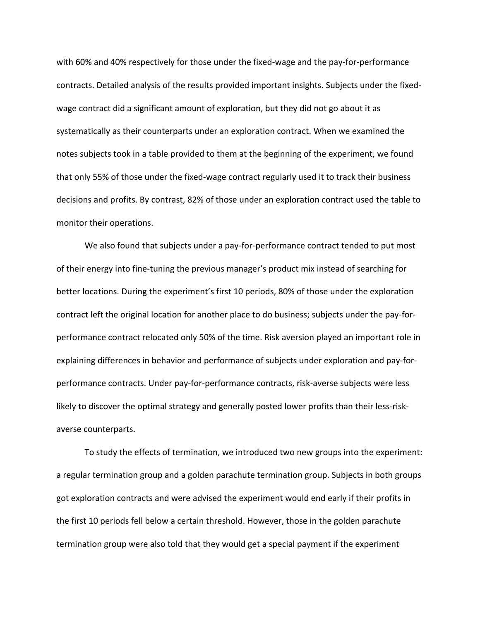with 60% and 40% respectively for those under the fixed-wage and the pay-for-performance contracts. Detailed analysis of the results provided important insights. Subjects under the fixedwage contract did a significant amount of exploration, but they did not go about it as systematically as their counterparts under an exploration contract. When we examined the notes subjects took in a table provided to them at the beginning of the experiment, we found that only 55% of those under the fixed-wage contract regularly used it to track their business decisions and profits. By contrast, 82% of those under an exploration contract used the table to monitor their operations.

We also found that subjects under a pay-for-performance contract tended to put most of their energy into fine-tuning the previous manager's product mix instead of searching for better locations. During the experiment's first 10 periods, 80% of those under the exploration contract left the original location for another place to do business; subjects under the pay-forperformance contract relocated only 50% of the time. Risk aversion played an important role in explaining differences in behavior and performance of subjects under exploration and pay-forperformance contracts. Under pay-for-performance contracts, risk-averse subjects were less likely to discover the optimal strategy and generally posted lower profits than their less-riskaverse counterparts.

To study the effects of termination, we introduced two new groups into the experiment: a regular termination group and a golden parachute termination group. Subjects in both groups got exploration contracts and were advised the experiment would end early if their profits in the first 10 periods fell below a certain threshold. However, those in the golden parachute termination group were also told that they would get a special payment if the experiment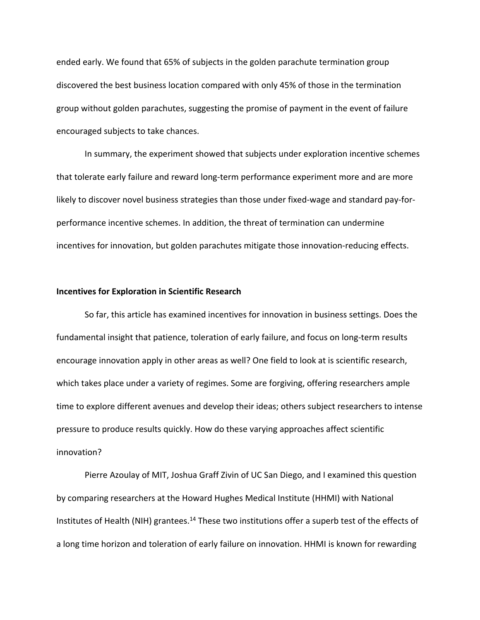ended early. We found that 65% of subjects in the golden parachute termination group discovered the best business location compared with only 45% of those in the termination group without golden parachutes, suggesting the promise of payment in the event of failure encouraged subjects to take chances.

In summary, the experiment showed that subjects under exploration incentive schemes that tolerate early failure and reward long-term performance experiment more and are more likely to discover novel business strategies than those under fixed-wage and standard pay-forperformance incentive schemes. In addition, the threat of termination can undermine incentives for innovation, but golden parachutes mitigate those innovation-reducing effects.

#### **Incentives for Exploration in Scientific Research**

So far, this article has examined incentives for innovation in business settings. Does the fundamental insight that patience, toleration of early failure, and focus on long-term results encourage innovation apply in other areas as well? One field to look at is scientific research, which takes place under a variety of regimes. Some are forgiving, offering researchers ample time to explore different avenues and develop their ideas; others subject researchers to intense pressure to produce results quickly. How do these varying approaches affect scientific innovation?

Pierre Azoulay of MIT, Joshua Graff Zivin of UC San Diego, and I examined this question by comparing researchers at the Howard Hughes Medical Institute (HHMI) with National Institutes of Health (NIH) grantees.<sup>14</sup> These two institutions offer a superb test of the effects of a long time horizon and toleration of early failure on innovation. HHMI is known for rewarding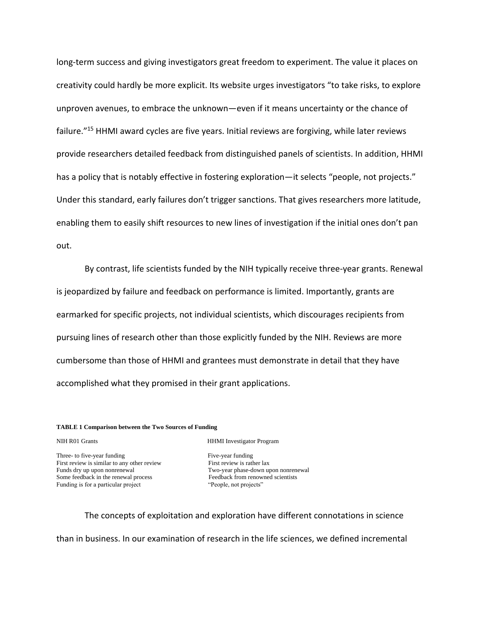long-term success and giving investigators great freedom to experiment. The value it places on creativity could hardly be more explicit. Its website urges investigators "to take risks, to explore unproven avenues, to embrace the unknown—even if it means uncertainty or the chance of failure."<sup>15</sup> HHMI award cycles are five years. Initial reviews are forgiving, while later reviews provide researchers detailed feedback from distinguished panels of scientists. In addition, HHMI has a policy that is notably effective in fostering exploration—it selects "people, not projects." Under this standard, early failures don't trigger sanctions. That gives researchers more latitude, enabling them to easily shift resources to new lines of investigation if the initial ones don't pan out.

By contrast, life scientists funded by the NIH typically receive three-year grants. Renewal is jeopardized by failure and feedback on performance is limited. Importantly, grants are earmarked for specific projects, not individual scientists, which discourages recipients from pursuing lines of research other than those explicitly funded by the NIH. Reviews are more cumbersome than those of HHMI and grantees must demonstrate in detail that they have accomplished what they promised in their grant applications.

#### **TABLE 1 Comparison between the Two Sources of Funding**

Three- to five-year funding Five-year funding First review is similar to any other review First review is rather lax Funds dry up upon nonrenewal Two-year phase-down upon nonrenewal Some feedback in the renewal process Feedback from renowned scientists Funding is for a particular project "People, not projects"

NIH R01 Grants HHMI Investigator Program

The concepts of exploitation and exploration have different connotations in science

than in business. In our examination of research in the life sciences, we defined incremental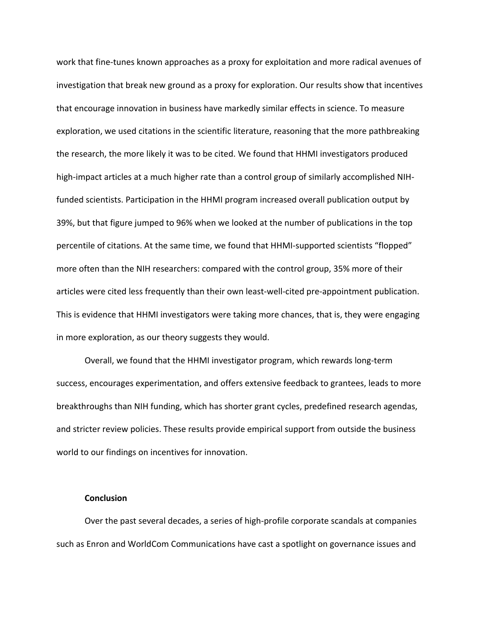work that fine-tunes known approaches as a proxy for exploitation and more radical avenues of investigation that break new ground as a proxy for exploration. Our results show that incentives that encourage innovation in business have markedly similar effects in science. To measure exploration, we used citations in the scientific literature, reasoning that the more pathbreaking the research, the more likely it was to be cited. We found that HHMI investigators produced high-impact articles at a much higher rate than a control group of similarly accomplished NIHfunded scientists. Participation in the HHMI program increased overall publication output by 39%, but that figure jumped to 96% when we looked at the number of publications in the top percentile of citations. At the same time, we found that HHMI-supported scientists "flopped" more often than the NIH researchers: compared with the control group, 35% more of their articles were cited less frequently than their own least-well-cited pre-appointment publication. This is evidence that HHMI investigators were taking more chances, that is, they were engaging in more exploration, as our theory suggests they would.

Overall, we found that the HHMI investigator program, which rewards long-term success, encourages experimentation, and offers extensive feedback to grantees, leads to more breakthroughs than NIH funding, which has shorter grant cycles, predefined research agendas, and stricter review policies. These results provide empirical support from outside the business world to our findings on incentives for innovation.

## **Conclusion**

Over the past several decades, a series of high-profile corporate scandals at companies such as Enron and WorldCom Communications have cast a spotlight on governance issues and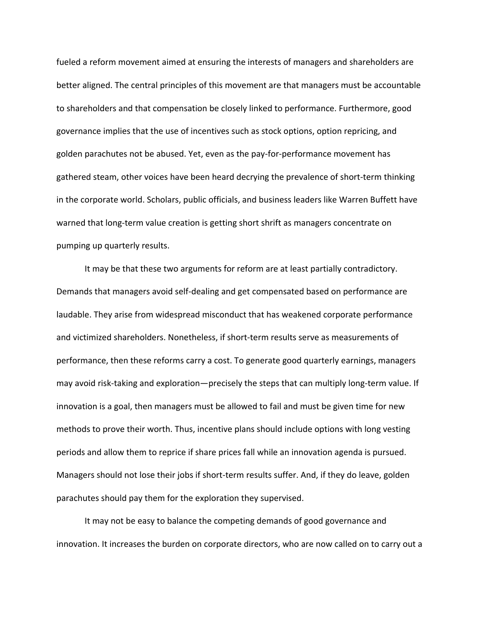fueled a reform movement aimed at ensuring the interests of managers and shareholders are better aligned. The central principles of this movement are that managers must be accountable to shareholders and that compensation be closely linked to performance. Furthermore, good governance implies that the use of incentives such as stock options, option repricing, and golden parachutes not be abused. Yet, even as the pay-for-performance movement has gathered steam, other voices have been heard decrying the prevalence of short-term thinking in the corporate world. Scholars, public officials, and business leaders like Warren Buffett have warned that long-term value creation is getting short shrift as managers concentrate on pumping up quarterly results.

It may be that these two arguments for reform are at least partially contradictory. Demands that managers avoid self-dealing and get compensated based on performance are laudable. They arise from widespread misconduct that has weakened corporate performance and victimized shareholders. Nonetheless, if short-term results serve as measurements of performance, then these reforms carry a cost. To generate good quarterly earnings, managers may avoid risk-taking and exploration—precisely the steps that can multiply long-term value. If innovation is a goal, then managers must be allowed to fail and must be given time for new methods to prove their worth. Thus, incentive plans should include options with long vesting periods and allow them to reprice if share prices fall while an innovation agenda is pursued. Managers should not lose their jobs if short-term results suffer. And, if they do leave, golden parachutes should pay them for the exploration they supervised.

It may not be easy to balance the competing demands of good governance and innovation. It increases the burden on corporate directors, who are now called on to carry out a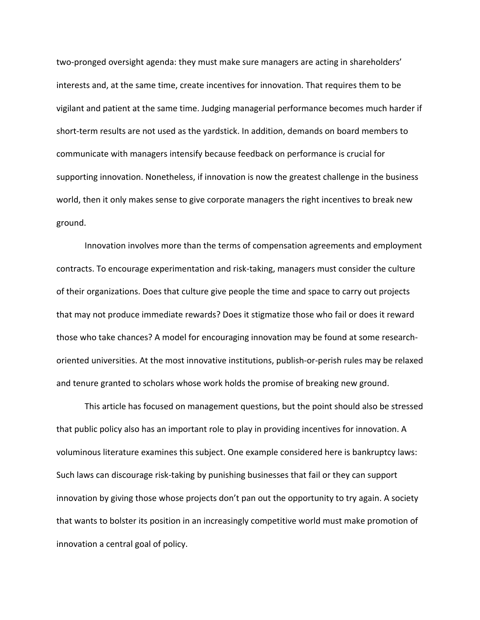two-pronged oversight agenda: they must make sure managers are acting in shareholders' interests and, at the same time, create incentives for innovation. That requires them to be vigilant and patient at the same time. Judging managerial performance becomes much harder if short-term results are not used as the yardstick. In addition, demands on board members to communicate with managers intensify because feedback on performance is crucial for supporting innovation. Nonetheless, if innovation is now the greatest challenge in the business world, then it only makes sense to give corporate managers the right incentives to break new ground.

Innovation involves more than the terms of compensation agreements and employment contracts. To encourage experimentation and risk-taking, managers must consider the culture of their organizations. Does that culture give people the time and space to carry out projects that may not produce immediate rewards? Does it stigmatize those who fail or does it reward those who take chances? A model for encouraging innovation may be found at some researchoriented universities. At the most innovative institutions, publish-or-perish rules may be relaxed and tenure granted to scholars whose work holds the promise of breaking new ground.

This article has focused on management questions, but the point should also be stressed that public policy also has an important role to play in providing incentives for innovation. A voluminous literature examines this subject. One example considered here is bankruptcy laws: Such laws can discourage risk-taking by punishing businesses that fail or they can support innovation by giving those whose projects don't pan out the opportunity to try again. A society that wants to bolster its position in an increasingly competitive world must make promotion of innovation a central goal of policy.